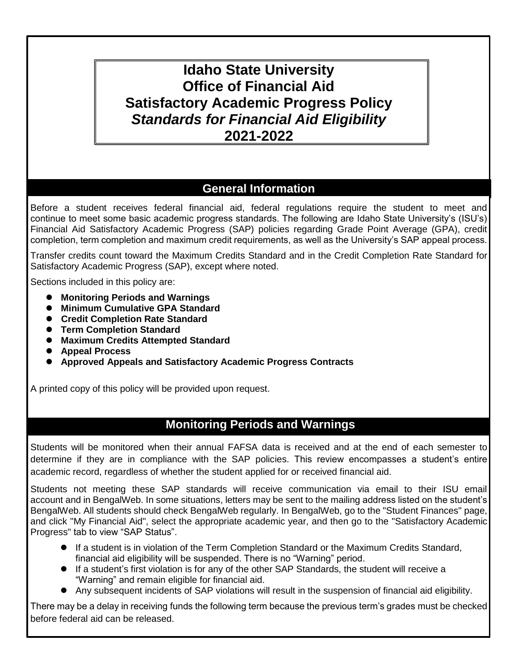# **Idaho State University Office of Financial Aid Satisfactory Academic Progress Policy** *Standards for Financial Aid Eligibility* **2021-2022**

## **General Information**

Before a student receives federal financial aid, federal regulations require the student to meet and continue to meet some basic academic progress standards. The following are Idaho State University's (ISU's) Financial Aid Satisfactory Academic Progress (SAP) policies regarding Grade Point Average (GPA), credit completion, term completion and maximum credit requirements, as well as the University's SAP appeal process.

Transfer credits count toward the Maximum Credits Standard and in the Credit Completion Rate Standard for Satisfactory Academic Progress (SAP), except where noted.

Sections included in this policy are:

- **Monitoring Periods and Warnings**
- **Minimum Cumulative GPA Standard**
- **Credit Completion Rate Standard**
- **Term Completion Standard**
- **Maximum Credits Attempted Standard**
- **Appeal Process**
- **Approved Appeals and Satisfactory Academic Progress Contracts**

A printed copy of this policy will be provided upon request.

### **Monitoring Periods and Warnings**

Students will be monitored when their annual FAFSA data is received and at the end of each semester to determine if they are in compliance with the SAP policies. This review encompasses a student's entire academic record, regardless of whether the student applied for or received financial aid.

Students not meeting these SAP standards will receive communication via email to their ISU email account and in BengalWeb. In some situations, letters may be sent to the mailing address listed on the student's BengalWeb. All students should check BengalWeb regularly. In BengalWeb, go to the "Student Finances" page, and click "My Financial Aid", select the appropriate academic year, and then go to the "Satisfactory Academic Progress" tab to view "SAP Status".

- If a student is in violation of the Term Completion Standard or the Maximum Credits Standard, financial aid eligibility will be suspended. There is no "Warning" period.
- If a student's first violation is for any of the other SAP Standards, the student will receive a "Warning" and remain eligible for financial aid.
- Any subsequent incidents of SAP violations will result in the suspension of financial aid eligibility.

There may be a delay in receiving funds the following term because the previous term's grades must be checked before federal aid can be released.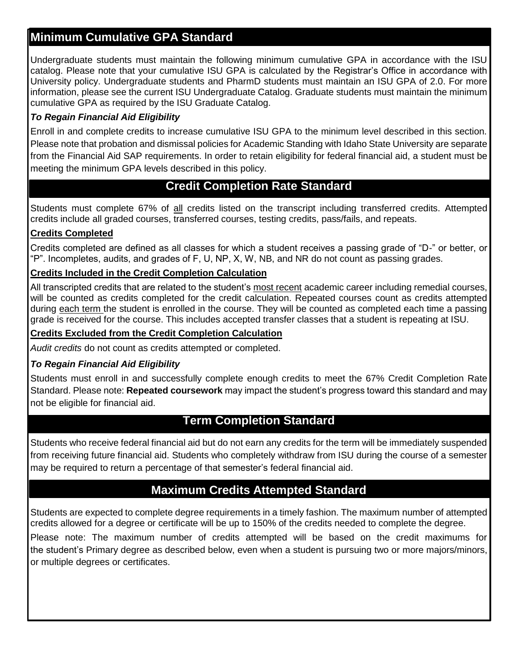## **Minimum Cumulative GPA Standard**

Undergraduate students must maintain the following minimum cumulative GPA in accordance with the ISU catalog. Please note that your cumulative ISU GPA is calculated by the Registrar's Office in accordance with University policy. Undergraduate students and PharmD students must maintain an ISU GPA of 2.0. For more information, please see the current ISU Undergraduate Catalog. Graduate students must maintain the minimum cumulative GPA as required by the ISU Graduate Catalog.

#### *To Regain Financial Aid Eligibility*

Enroll in and complete credits to increase cumulative ISU GPA to the minimum level described in this section. Please note that probation and dismissal policies for Academic Standing with Idaho State University are separate from the Financial Aid SAP requirements. In order to retain eligibility for federal financial aid, a student must be meeting the minimum GPA levels described in this policy.

### **Credit Completion Rate Standard**

Students must complete 67% of all credits listed on the transcript including transferred credits. Attempted credits include all graded courses, transferred courses, testing credits, pass/fails, and repeats.

#### **Credits Completed**

Credits completed are defined as all classes for which a student receives a passing grade of "D-" or better, or "P". Incompletes, audits, and grades of F, U, NP, X, W, NB, and NR do not count as passing grades.

#### **Credits Included in the Credit Completion Calculation**

All transcripted credits that are related to the student's most recent academic career including remedial courses, will be counted as credits completed for the credit calculation. Repeated courses count as credits attempted during each term the student is enrolled in the course. They will be counted as completed each time a passing grade is received for the course. This includes accepted transfer classes that a student is repeating at ISU.

#### **Credits Excluded from the Credit Completion Calculation**

*Audit credits* do not count as credits attempted or completed.

#### *To Regain Financial Aid Eligibility*

Students must enroll in and successfully complete enough credits to meet the 67% Credit Completion Rate Standard. Please note: **Repeated coursework** may impact the student's progress toward this standard and may not be eligible for financial aid.

### **Term Completion Standard**

Students who receive federal financial aid but do not earn any credits for the term will be immediately suspended from receiving future financial aid. Students who completely withdraw from ISU during the course of a semester may be required to return a percentage of that semester's federal financial aid.

### **Maximum Credits Attempted Standard**

Students are expected to complete degree requirements in a timely fashion. The maximum number of attempted credits allowed for a degree or certificate will be up to 150% of the credits needed to complete the degree.

Please note: The maximum number of credits attempted will be based on the credit maximums for the student's Primary degree as described below, even when a student is pursuing two or more majors/minors, or multiple degrees or certificates.